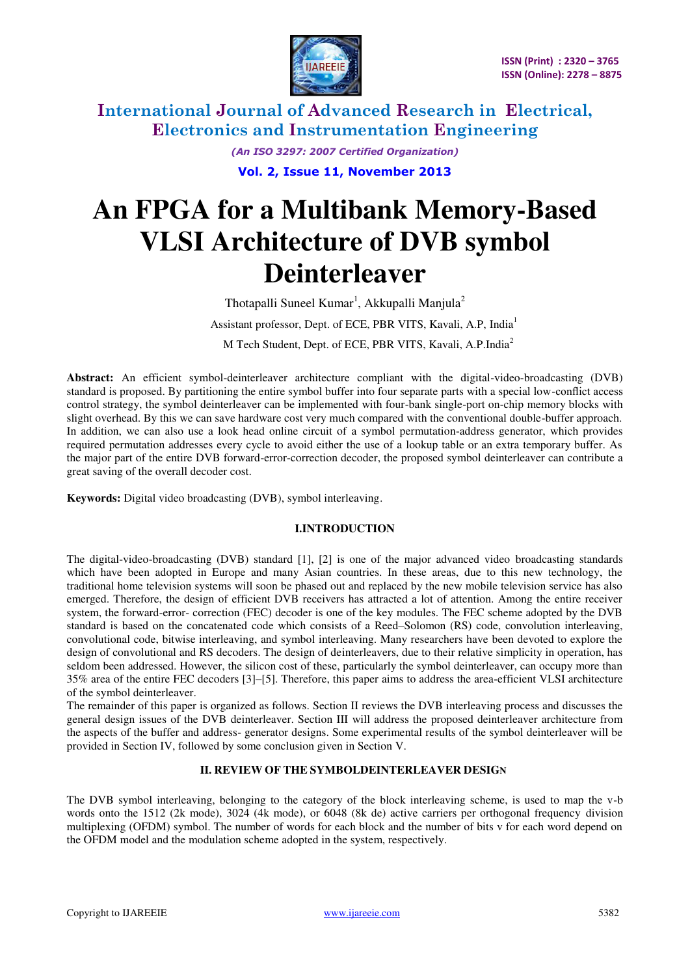

> *(An ISO 3297: 2007 Certified Organization)*  **Vol. 2, Issue 11, November 2013**

# **An FPGA for a Multibank Memory-Based VLSI Architecture of DVB symbol Deinterleaver**

Thotapalli Suneel Kumar<sup>1</sup>, Akkupalli Manjula<sup>2</sup> Assistant professor, Dept. of ECE, PBR VITS, Kavali, A.P, India<sup>1</sup> M Tech Student, Dept. of ECE, PBR VITS, Kavali, A.P.India<sup>2</sup>

**Abstract:** An efficient symbol-deinterleaver architecture compliant with the digital-video-broadcasting (DVB) standard is proposed. By partitioning the entire symbol buffer into four separate parts with a special low-conflict access control strategy, the symbol deinterleaver can be implemented with four-bank single-port on-chip memory blocks with slight overhead. By this we can save hardware cost very much compared with the conventional double-buffer approach. In addition, we can also use a look head online circuit of a symbol permutation-address generator, which provides required permutation addresses every cycle to avoid either the use of a lookup table or an extra temporary buffer. As the major part of the entire DVB forward-error-correction decoder, the proposed symbol deinterleaver can contribute a great saving of the overall decoder cost.

**Keywords:** Digital video broadcasting (DVB), symbol interleaving.

## **I.INTRODUCTION**

The digital-video-broadcasting (DVB) standard [1], [2] is one of the major advanced video broadcasting standards which have been adopted in Europe and many Asian countries. In these areas, due to this new technology, the traditional home television systems will soon be phased out and replaced by the new mobile television service has also emerged. Therefore, the design of efficient DVB receivers has attracted a lot of attention. Among the entire receiver system, the forward-error- correction (FEC) decoder is one of the key modules. The FEC scheme adopted by the DVB standard is based on the concatenated code which consists of a Reed–Solomon (RS) code, convolution interleaving, convolutional code, bitwise interleaving, and symbol interleaving. Many researchers have been devoted to explore the design of convolutional and RS decoders. The design of deinterleavers, due to their relative simplicity in operation, has seldom been addressed. However, the silicon cost of these, particularly the symbol deinterleaver, can occupy more than 35% area of the entire FEC decoders [3]–[5]. Therefore, this paper aims to address the area-efficient VLSI architecture of the symbol deinterleaver.

The remainder of this paper is organized as follows. Section II reviews the DVB interleaving process and discusses the general design issues of the DVB deinterleaver. Section III will address the proposed deinterleaver architecture from the aspects of the buffer and address- generator designs. Some experimental results of the symbol deinterleaver will be provided in Section IV, followed by some conclusion given in Section V.

## **II. REVIEW OF THE SYMBOLDEINTERLEAVER DESIGN**

The DVB symbol interleaving, belonging to the category of the block interleaving scheme, is used to map the v-b words onto the 1512 (2k mode), 3024 (4k mode), or 6048 (8k de) active carriers per orthogonal frequency division multiplexing (OFDM) symbol. The number of words for each block and the number of bits v for each word depend on the OFDM model and the modulation scheme adopted in the system, respectively.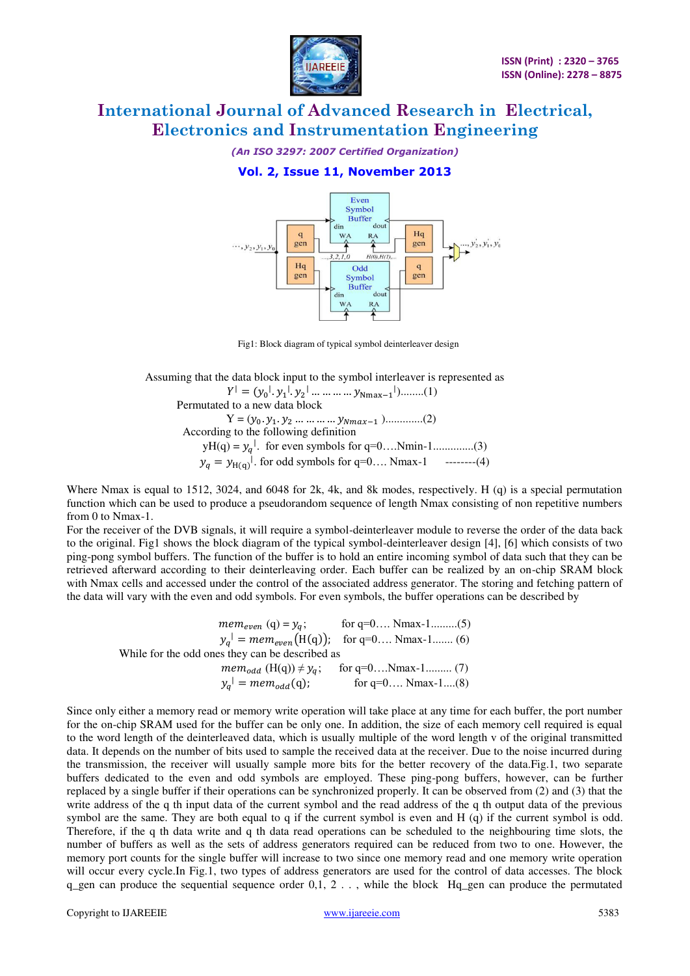

*(An ISO 3297: 2007 Certified Organization)* 

# **Vol. 2, Issue 11, November 2013**



Fig1: Block diagram of typical symbol deinterleaver design

 Assuming that the data block input to the symbol interleaver is represented as  $|y_1, y_2| \dots \dots \dots \dots y_{Nmax-1}|$  ........(1) Permutated to a new data block  $Y = (y_0, y_1, y_2, \dots, y_{Nmax-1}), \dots \dots \dots (2)$  According to the following definition yH(q) = . for even symbols for q=0….Nmin-1..............(3)  $y_q = y_{H(q)}$ <sup>1</sup>. for odd symbols for q=0.... Nmax-1 --------(4)

Where Nmax is equal to 1512, 3024, and 6048 for 2k, 4k, and 8k modes, respectively. H (q) is a special permutation function which can be used to produce a pseudorandom sequence of length Nmax consisting of non repetitive numbers from 0 to Nmax-1.

For the receiver of the DVB signals, it will require a symbol-deinterleaver module to reverse the order of the data back to the original. Fig1 shows the block diagram of the typical symbol-deinterleaver design [4], [6] which consists of two ping-pong symbol buffers. The function of the buffer is to hold an entire incoming symbol of data such that they can be retrieved afterward according to their deinterleaving order. Each buffer can be realized by an on-chip SRAM block with Nmax cells and accessed under the control of the associated address generator. The storing and fetching pattern of the data will vary with the even and odd symbols. For even symbols, the buffer operations can be described by

 $mem_{even} (q) = y_q;$  for  $q=0...$  Nmax-1.........(5)  $y_q$ <sup>|</sup> = mem<sub>even</sub>(H(q)); for q=0.... Nmax-1....... (6) While for the odd ones they can be described as  $mem_{odd} (\text{H(q)}) \neq y_q; \text{ for q=0....N} \text{max-1........... (7)}$  $y_q$ <sup>1</sup> =  $mem_{odd}(q)$ ; for q=0.... Nmax-1....(8)

Since only either a memory read or memory write operation will take place at any time for each buffer, the port number for the on-chip SRAM used for the buffer can be only one. In addition, the size of each memory cell required is equal to the word length of the deinterleaved data, which is usually multiple of the word length v of the original transmitted data. It depends on the number of bits used to sample the received data at the receiver. Due to the noise incurred during the transmission, the receiver will usually sample more bits for the better recovery of the data.Fig.1, two separate buffers dedicated to the even and odd symbols are employed. These ping-pong buffers, however, can be further replaced by a single buffer if their operations can be synchronized properly. It can be observed from (2) and (3) that the write address of the q th input data of the current symbol and the read address of the q th output data of the previous symbol are the same. They are both equal to q if the current symbol is even and H (q) if the current symbol is odd. Therefore, if the q th data write and q th data read operations can be scheduled to the neighbouring time slots, the number of buffers as well as the sets of address generators required can be reduced from two to one. However, the memory port counts for the single buffer will increase to two since one memory read and one memory write operation will occur every cycle.In Fig.1, two types of address generators are used for the control of data accesses. The block q\_gen can produce the sequential sequence order 0,1, 2 . . , while the block Hq\_gen can produce the permutated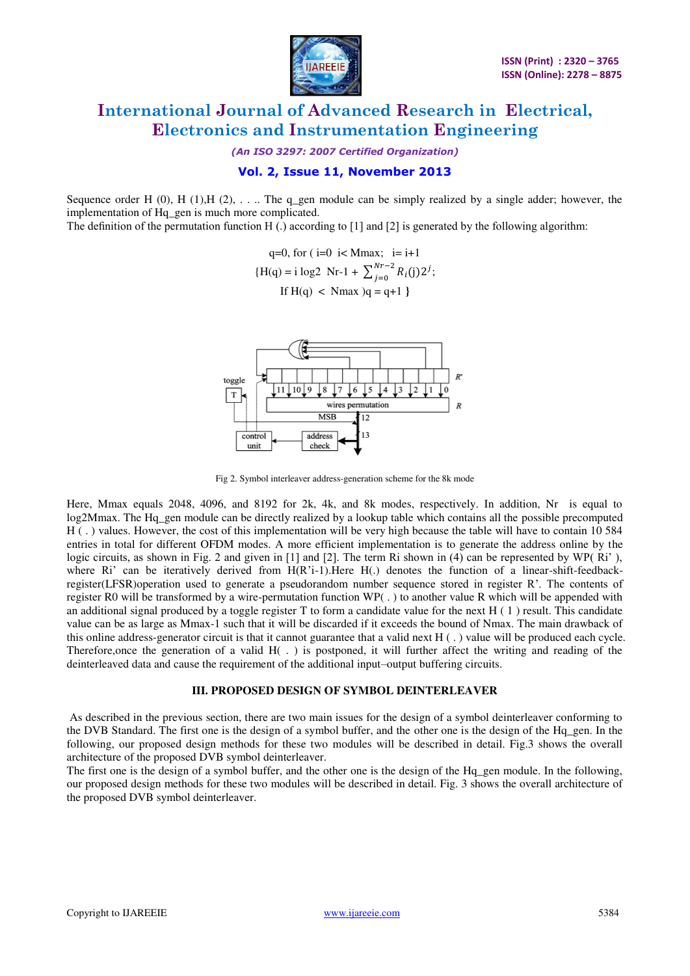

*(An ISO 3297: 2007 Certified Organization)* 

### **Vol. 2, Issue 11, November 2013**

Sequence order H (0), H (1), H (2),  $\dots$  The q\_gen module can be simply realized by a single adder; however, the implementation of Hq\_gen is much more complicated.

The definition of the permutation function H (.) according to [1] and [2] is generated by the following algorithm:

q=0, for ( i=0 i< Mmax; i=i+1  
{H(q) = i log2 Nr-1 + 
$$
\sum_{j=0}^{Nr-2} R_i(j)2^j
$$
;  
If H(q) < Nmax)q = q+1 }



Fig 2. Symbol interleaver address-generation scheme for the 8k mode

Here, Mmax equals 2048, 4096, and 8192 for 2k, 4k, and 8k modes, respectively. In addition, Nr is equal to log2Mmax. The Hq\_gen module can be directly realized by a lookup table which contains all the possible precomputed H ( . ) values. However, the cost of this implementation will be very high because the table will have to contain 10 584 entries in total for different OFDM modes. A more efficient implementation is to generate the address online by the logic circuits, as shown in Fig. 2 and given in [1] and [2]. The term Ri shown in (4) can be represented by WP(Ri'), where Ri' can be iteratively derived from  $H(R'i-1)$ . Here  $H(.)$  denotes the function of a linear-shift-feedbackregister(LFSR)operation used to generate a pseudorandom number sequence stored in register R'. The contents of register R0 will be transformed by a wire-permutation function WP( . ) to another value R which will be appended with an additional signal produced by a toggle register T to form a candidate value for the next  $H(1)$  result. This candidate value can be as large as Mmax-1 such that it will be discarded if it exceeds the bound of Nmax. The main drawback of this online address-generator circuit is that it cannot guarantee that a valid next H ( . ) value will be produced each cycle. Therefore,once the generation of a valid H( . ) is postponed, it will further affect the writing and reading of the deinterleaved data and cause the requirement of the additional input–output buffering circuits.

#### **III. PROPOSED DESIGN OF SYMBOL DEINTERLEAVER**

As described in the previous section, there are two main issues for the design of a symbol deinterleaver conforming to the DVB Standard. The first one is the design of a symbol buffer, and the other one is the design of the Hq\_gen. In the following, our proposed design methods for these two modules will be described in detail. Fig.3 shows the overall architecture of the proposed DVB symbol deinterleaver.

The first one is the design of a symbol buffer, and the other one is the design of the Hq gen module. In the following, our proposed design methods for these two modules will be described in detail. Fig. 3 shows the overall architecture of the proposed DVB symbol deinterleaver.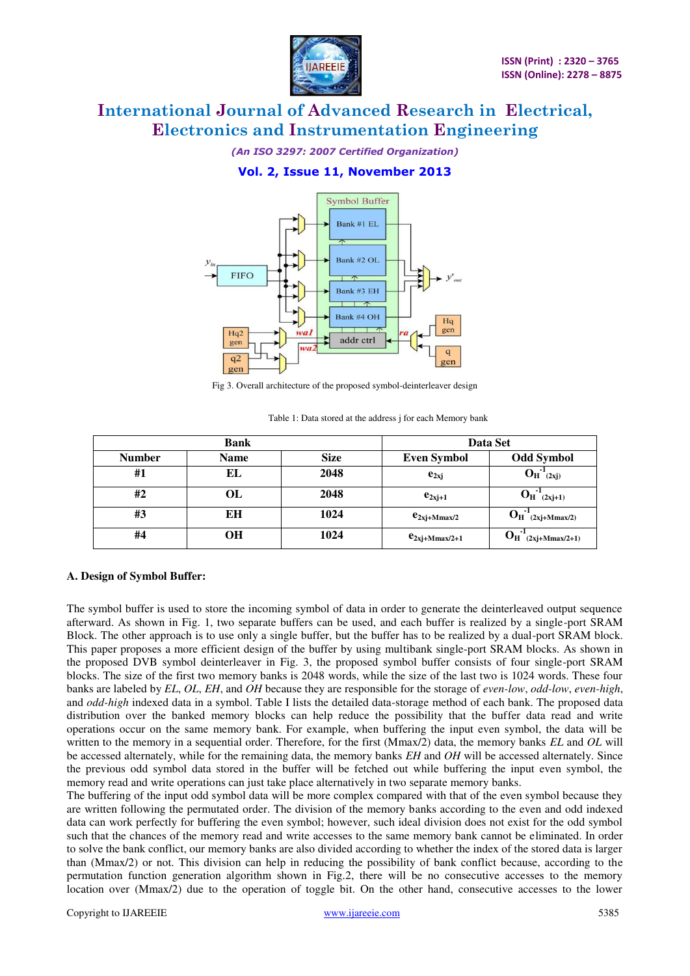

*(An ISO 3297: 2007 Certified Organization)* 

# **Vol. 2, Issue 11, November 2013**



Fig 3. Overall architecture of the proposed symbol-deinterleaver design

|               | <b>Bank</b> | Data Set |                    |                                               |  |  |
|---------------|-------------|----------|--------------------|-----------------------------------------------|--|--|
| <b>Number</b> | <b>Name</b> |          | <b>Even Symbol</b> | <b>Odd Symbol</b>                             |  |  |
| #1            | EL          | 2048     | $e_{2xi}$          | $O_{H}^{-1}$ (2xj)                            |  |  |
| #2            | OL          | 2048     | $e_{2xj+1}$        | $O_{H}^{-1}$ (2xj+1)                          |  |  |
| #3            | ЕH          | 1024     | $e_{2xj+Mmax/2}$   | $O_H^{-1}(2xj+Mmax/2)$                        |  |  |
| #4            | OН          | 1024     | $e_{2xj+Mmax/2+1}$ | $\mathbf{D}_{\mathbf{H}}$<br>$(2xj+Mmax/2+1)$ |  |  |

Table 1: Data stored at the address *i* for each Memory bank

### **A. Design of Symbol Buffer:**

The symbol buffer is used to store the incoming symbol of data in order to generate the deinterleaved output sequence afterward. As shown in Fig. 1, two separate buffers can be used, and each buffer is realized by a single-port SRAM Block. The other approach is to use only a single buffer, but the buffer has to be realized by a dual-port SRAM block. This paper proposes a more efficient design of the buffer by using multibank single-port SRAM blocks. As shown in the proposed DVB symbol deinterleaver in Fig. 3, the proposed symbol buffer consists of four single-port SRAM blocks. The size of the first two memory banks is 2048 words, while the size of the last two is 1024 words. These four banks are labeled by *EL*, *OL*, *EH*, and *OH* because they are responsible for the storage of *even-low*, *odd-low*, *even-high*, and *odd-high* indexed data in a symbol. Table I lists the detailed data-storage method of each bank. The proposed data distribution over the banked memory blocks can help reduce the possibility that the buffer data read and write operations occur on the same memory bank. For example, when buffering the input even symbol, the data will be written to the memory in a sequential order. Therefore, for the first (Mmax/2) data, the memory banks *EL* and *OL* will be accessed alternately, while for the remaining data, the memory banks *EH* and *OH* will be accessed alternately. Since the previous odd symbol data stored in the buffer will be fetched out while buffering the input even symbol, the memory read and write operations can just take place alternatively in two separate memory banks.

The buffering of the input odd symbol data will be more complex compared with that of the even symbol because they are written following the permutated order. The division of the memory banks according to the even and odd indexed data can work perfectly for buffering the even symbol; however, such ideal division does not exist for the odd symbol such that the chances of the memory read and write accesses to the same memory bank cannot be eliminated. In order to solve the bank conflict, our memory banks are also divided according to whether the index of the stored data is larger than (Mmax/2) or not. This division can help in reducing the possibility of bank conflict because, according to the permutation function generation algorithm shown in Fig.2, there will be no consecutive accesses to the memory location over (Mmax/2) due to the operation of toggle bit. On the other hand, consecutive accesses to the lower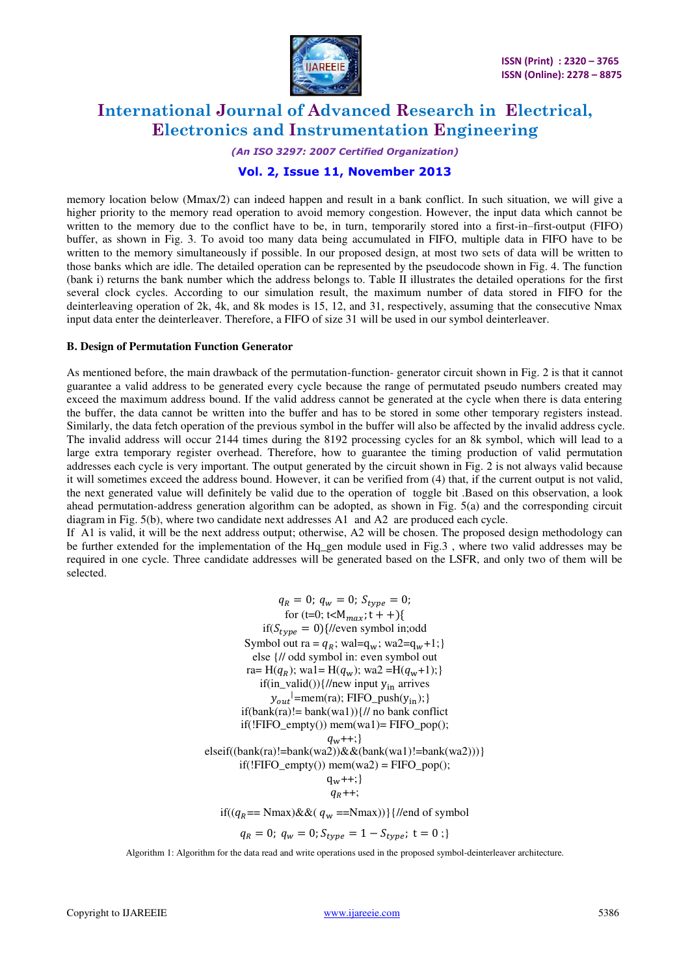

#### *(An ISO 3297: 2007 Certified Organization)*

### **Vol. 2, Issue 11, November 2013**

memory location below (Mmax/2) can indeed happen and result in a bank conflict. In such situation, we will give a higher priority to the memory read operation to avoid memory congestion. However, the input data which cannot be written to the memory due to the conflict have to be, in turn, temporarily stored into a first-in–first-output (FIFO) buffer, as shown in Fig. 3. To avoid too many data being accumulated in FIFO, multiple data in FIFO have to be written to the memory simultaneously if possible. In our proposed design, at most two sets of data will be written to those banks which are idle. The detailed operation can be represented by the pseudocode shown in Fig. 4. The function (bank i) returns the bank number which the address belongs to. Table II illustrates the detailed operations for the first several clock cycles. According to our simulation result, the maximum number of data stored in FIFO for the deinterleaving operation of 2k, 4k, and 8k modes is 15, 12, and 31, respectively, assuming that the consecutive Nmax input data enter the deinterleaver. Therefore, a FIFO of size 31 will be used in our symbol deinterleaver.

#### **B. Design of Permutation Function Generator**

As mentioned before, the main drawback of the permutation-function- generator circuit shown in Fig. 2 is that it cannot guarantee a valid address to be generated every cycle because the range of permutated pseudo numbers created may exceed the maximum address bound. If the valid address cannot be generated at the cycle when there is data entering the buffer, the data cannot be written into the buffer and has to be stored in some other temporary registers instead. Similarly, the data fetch operation of the previous symbol in the buffer will also be affected by the invalid address cycle. The invalid address will occur 2144 times during the 8192 processing cycles for an 8k symbol, which will lead to a large extra temporary register overhead. Therefore, how to guarantee the timing production of valid permutation addresses each cycle is very important. The output generated by the circuit shown in Fig. 2 is not always valid because it will sometimes exceed the address bound. However, it can be verified from (4) that, if the current output is not valid, the next generated value will definitely be valid due to the operation of toggle bit .Based on this observation, a look ahead permutation-address generation algorithm can be adopted, as shown in Fig. 5(a) and the corresponding circuit diagram in Fig. 5(b), where two candidate next addresses A1 and A2 are produced each cycle.

If A1 is valid, it will be the next address output; otherwise, A2 will be chosen. The proposed design methodology can be further extended for the implementation of the Hq gen module used in Fig.3, where two valid addresses may be required in one cycle. Three candidate addresses will be generated based on the LSFR, and only two of them will be selected.

> $q_R = 0$ ;  $q_w = 0$ ;  $S_{type} = 0$ ; for (t=0; t< $M_{max}$ ; t + +){  $if(S_{type} = 0)$ {//even symbol in;odd Symbol out ra =  $q_R$ ; wal= $q_w$ ; wa2= $q_w+1$ ;} else {// odd symbol in: even symbol out ra= H( $q_R$ ); wa1= H( $q_w$ ); wa2 = H( $q_w+1$ );} if(in\_valid()){//new input  $y_{in}$  arrives  $y_{out}$ <sup>|</sup>=mem(ra); FIFO\_push( $y_{in}$ ); }  $if(bank(n)) = bank(wa1))$  {// no bank conflict  $if(!FIFO\_empty())$  mem(wa1)=  $FIFO\_pop()$ ;  $q_w$ ++;} elseif((bank(ra)!=bank(wa2)) $\&&(bank(wa1)!=bank(wa2)))$ }  $if('FIFO\_empty())$  mem $(wa2) = FIFO\_pop()$ ;  $q_w$ ++; }  $q_R + +;$ if( $(q_R == \text{Nmax}) \& \& (q_w == \text{Nmax}))$ }{//end of symbol

 $q_R = 0; q_w = 0; S_{type} = 1 - S_{type}; t = 0;$ 

Algorithm 1: Algorithm for the data read and write operations used in the proposed symbol-deinterleaver architecture.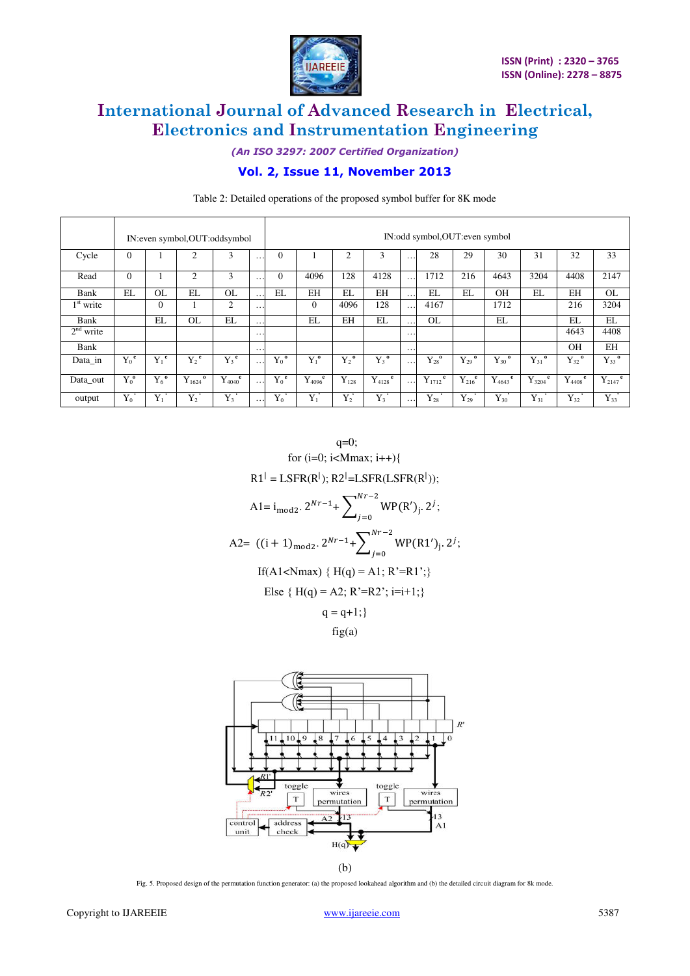

*(An ISO 3297: 2007 Certified Organization)* 

# **Vol. 2, Issue 11, November 2013**

|             |          |                    | IN:even symbol, OUT:oddsymbol |                    |                      | IN:odd symbol, OUT: even symbol |                                        |                    |                 |                      |                         |                       |                       |                       |                       |                         |
|-------------|----------|--------------------|-------------------------------|--------------------|----------------------|---------------------------------|----------------------------------------|--------------------|-----------------|----------------------|-------------------------|-----------------------|-----------------------|-----------------------|-----------------------|-------------------------|
| Cycle       | $\theta$ |                    | $\mathfrak{2}$                | 3                  | .                    | $\Omega$                        |                                        | $\overline{2}$     | 3               | .                    | 28                      | 29                    | 30                    | 31                    | 32                    | 33                      |
| Read        | $\Omega$ |                    | 2                             | 3                  | .                    | $\Omega$                        | 4096                                   | 128                | 4128            | .                    | 1712                    | 216                   | 4643                  | 3204                  | 4408                  | 2147                    |
| Bank        | EL       | <b>OL</b>          | EL                            | OL                 | $\ddot{\phantom{0}}$ | EL                              | <b>EH</b>                              | EL                 | EH              | $\ddot{\phantom{0}}$ | EL                      | EL                    | <b>OH</b>             | EL                    | EH                    | <b>OL</b>               |
| $1st$ write |          | $\Omega$           |                               | $\overline{2}$     | .                    |                                 | $\Omega$                               | 4096               | 128             | .                    | 4167                    |                       | 1712                  |                       | 216                   | 3204                    |
| Bank        |          | EL                 | <b>OL</b>                     | EL                 | .                    |                                 | EL                                     | EH                 | EL              | $\cdot$ .            | <b>OL</b>               |                       | EL                    |                       | EL                    | EL                      |
| $2nd$ write |          |                    |                               |                    | .                    |                                 |                                        |                    |                 | $\cdot$              |                         |                       |                       |                       | 4643                  | 4408                    |
| Bank        |          |                    |                               |                    | .                    |                                 |                                        |                    |                 | .                    |                         |                       |                       |                       | OH                    | EH                      |
| Data_in     | $Y_0^e$  | $Y_1^e$            | $Y_2^e$                       | $Y_3$ <sup>e</sup> | .                    | $Y_0^{\mathbf{0}}$              | $Y_1^{\bullet}$                        | $Y_2^{\mathrm{o}}$ | $Y_3^0$         | $\cdot$              | ${Y_{28}}^{\rm o}$      | $Y_{29}$ <sup>0</sup> | $Y_{30}$ <sup>o</sup> | $Y_{31}$ <sup>0</sup> | $Y_{32}$ <sup>o</sup> | $Y_{33}$ <sup>o</sup>   |
| Data_out    | $Y_0^0$  | $Y_6$ <sup>o</sup> | $\bf{o}$<br>$Y_{1624}$        | e<br>$Y_{4040}$    | .                    | $Y_0^e$                         | $Y_{4096}^{\phantom{1}}^{\phantom{1}}$ | $Y_{128}$          | e<br>$Y_{4128}$ | $\cdots$             | $Y_{1712}$ <sup>e</sup> | $Y_{216}^{\text{e}}$  | e<br>$Y_{4643}$       | e<br>$Y_{3204}$       | e<br>$Y_{4408}$       | $Y_{2147}$ <sup>e</sup> |
| output      | $Y_0$    | $Y_1$              | $Y_2$                         | $Y_3$              | .                    | ${\rm Y}_0$                     | $Y_1$                                  | $Y_2$              | $Y_3$           | .                    | ${\rm Y_{28}}$          | ${\rm Y}_{29}$        | ${\rm Y}_{30}$        | ${\rm Y}_{31}$        | $Y_{32}$              | ${\rm Y}_{33}$          |

Table 2: Detailed operations of the proposed symbol buffer for 8K mode

 $q=0;$ for  $(i=0; i<$ Mmax;  $i++$ ){  $R1^{\dagger} = LSFR(R^{\dagger}); R2^{\dagger} = LSFR(LSFR(R^{\dagger}));$ A1=  $i_{\text{mod}2}$ .  $2^{Nr-1}$ +  $\sum_{i,j}$  WP(R')<sub>j</sub>.  $\boldsymbol{N}$ J ; A2=  $((i + 1)_{\text{mod}2} \cdot 2^{Nr-1} + \sum_{i,j} W P(R1')_{i}$  $\boldsymbol{N}$ J ; If(A1<Nmax) {  $H(q) = A1$ ; R'=R1';} Else {  $H(q) = A2$ ;  $R' = R2$ <sup>\*</sup>;  $i=i+1$ ;}  $q = q+1;$ 

 $fig(a)$ 



(b)

Fig. 5. Proposed design of the permutation function generator: (a) the proposed lookahead algorithm and (b) the detailed circuit diagram for 8k mode.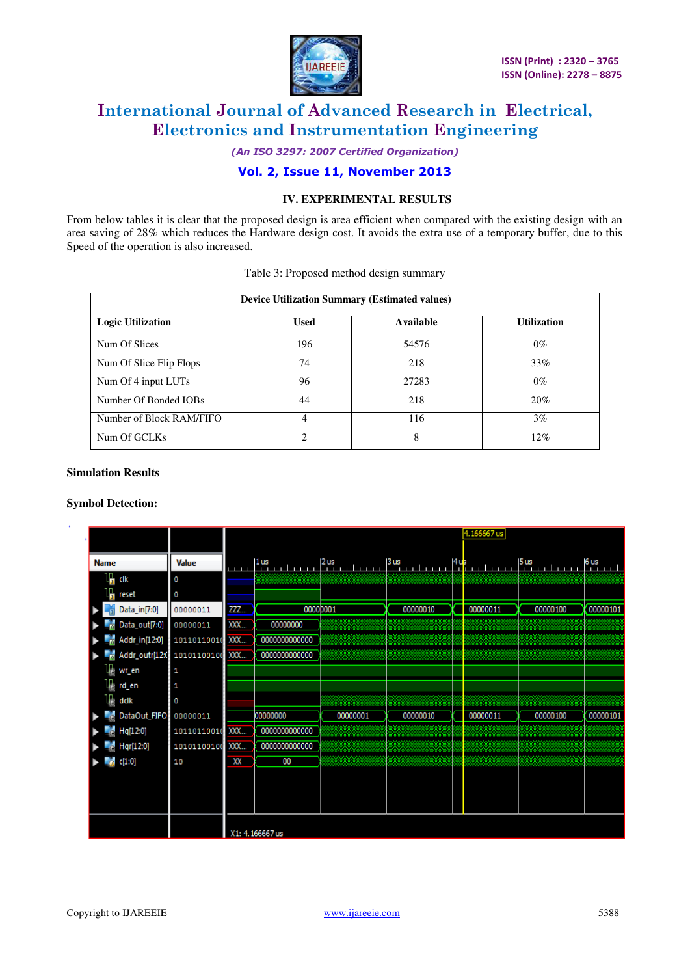

*(An ISO 3297: 2007 Certified Organization)* 

**Vol. 2, Issue 11, November 2013** 

### **IV. EXPERIMENTAL RESULTS**

From below tables it is clear that the proposed design is area efficient when compared with the existing design with an area saving of 28% which reduces the Hardware design cost. It avoids the extra use of a temporary buffer, due to this Speed of the operation is also increased.

| Table 3: Proposed method design summary |  |  |  |
|-----------------------------------------|--|--|--|
|-----------------------------------------|--|--|--|

| <b>Device Utilization Summary (Estimated values)</b> |                             |           |                    |  |  |  |  |  |  |
|------------------------------------------------------|-----------------------------|-----------|--------------------|--|--|--|--|--|--|
| <b>Logic Utilization</b>                             | Used                        | Available | <b>Utilization</b> |  |  |  |  |  |  |
| Num Of Slices                                        | 196                         | 54576     | $0\%$              |  |  |  |  |  |  |
| Num Of Slice Flip Flops                              | 74                          | 218       | 33%                |  |  |  |  |  |  |
| Num Of 4 input LUTs                                  | 96                          | 27283     | $0\%$              |  |  |  |  |  |  |
| Number Of Bonded IOBs                                | 44                          | 218       | 20%                |  |  |  |  |  |  |
| Number of Block RAM/FIFO                             | 4                           | 116       | 3%                 |  |  |  |  |  |  |
| Num Of GCLKs                                         | $\mathcal{D}_{\mathcal{L}}$ | 8         | $12\%$             |  |  |  |  |  |  |

#### **Simulation Results**

### **Symbol Detection:**

|                                  |                 |          |                 |          | 4.166667 us |                                     |                                                                                                                               |          |          |  |
|----------------------------------|-----------------|----------|-----------------|----------|-------------|-------------------------------------|-------------------------------------------------------------------------------------------------------------------------------|----------|----------|--|
|                                  |                 |          |                 |          |             |                                     |                                                                                                                               |          |          |  |
| <b>Name</b>                      | <b>Value</b>    | والمتعاب | $ 1$ us         | $2$ us   | $3$ us      | $\mathsf{H}^{\mathsf{u}\mathsf{s}}$ | $\frac{1}{2}$ . $\frac{1}{2}$ . $\frac{1}{2}$ . $\frac{1}{2}$ . $\frac{1}{2}$ . $\frac{1}{2}$ . $\frac{1}{2}$ . $\frac{1}{2}$ |          | 6 us     |  |
| $\frac{1}{10}$ dk                | 0               |          |                 |          |             |                                     |                                                                                                                               |          |          |  |
| Н<br>reset                       | o               |          |                 |          |             |                                     |                                                                                                                               |          |          |  |
| Data_in[7:0]                     | 00000011        | ZZZ      |                 | 00000001 | 00000010    |                                     | 00000011                                                                                                                      | 00000100 | 00000101 |  |
| Data_out[7:0]                    | 00000011        | XXX      | 00000000        |          |             |                                     |                                                                                                                               |          |          |  |
| $\frac{1}{10}$ Addr_in[12:0]     | 1011011001(XXX  |          | 000000000000    |          |             |                                     |                                                                                                                               |          |          |  |
| n Addr_outr[12:0 10101100100 XXX |                 |          | 0000000000000   |          |             |                                     |                                                                                                                               |          |          |  |
| $\mathbb{U}_0$ wr_en             | 1               |          |                 |          |             |                                     |                                                                                                                               |          |          |  |
| $\mathbb{U}_0$ rd_en             | 1               |          |                 |          |             |                                     |                                                                                                                               |          |          |  |
| $\mathbb{U}_0$ dclk              | O               |          |                 |          |             |                                     |                                                                                                                               |          |          |  |
| <b>DataOut_FIFO</b>              | 00000011        |          | 00000000        | 00000001 | 00000010    |                                     | 00000011                                                                                                                      | 00000100 | 00000101 |  |
| Hq[12:0]                         | 10110110010 XXX |          | 0000000000000   |          |             |                                     |                                                                                                                               |          |          |  |
| Hqr[12:0]                        | 10101100100 XXX |          | 0000000000000   |          |             |                                     |                                                                                                                               |          |          |  |
| $\frac{1}{20}$ c[1:0]            | 10              | XX       | 00              |          |             |                                     |                                                                                                                               |          |          |  |
|                                  |                 |          |                 |          |             |                                     |                                                                                                                               |          |          |  |
|                                  |                 |          |                 |          |             |                                     |                                                                                                                               |          |          |  |
|                                  |                 |          |                 |          |             |                                     |                                                                                                                               |          |          |  |
|                                  |                 |          |                 |          |             |                                     |                                                                                                                               |          |          |  |
|                                  |                 |          | X1: 4.166667 us |          |             |                                     |                                                                                                                               |          |          |  |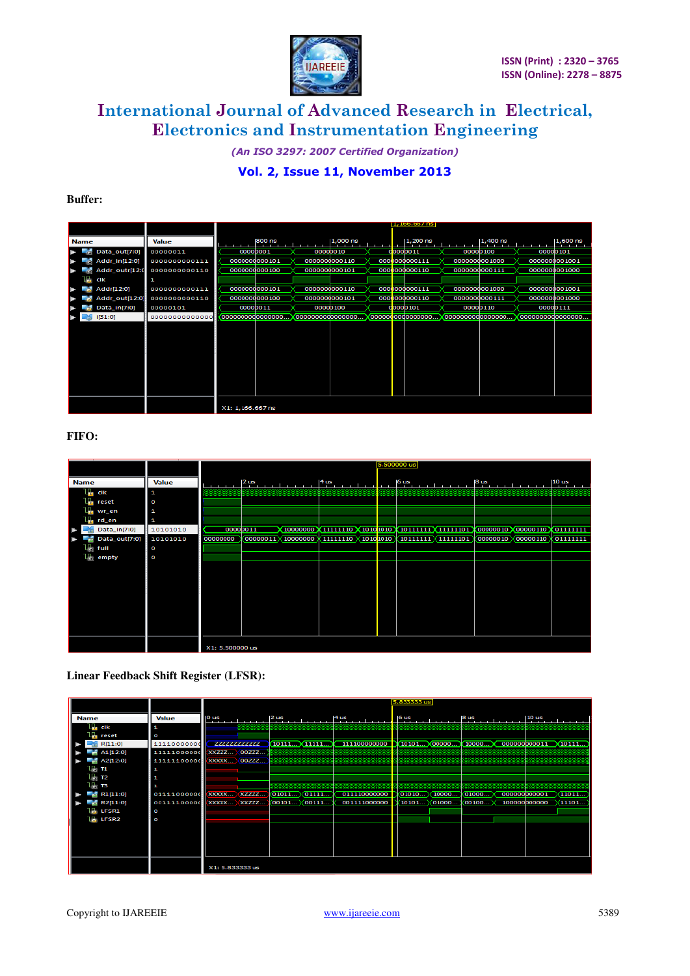

*(An ISO 3297: 2007 Certified Organization)*  **Vol. 2, Issue 11, November 2013** 

### **Buffer:**

|                |                |                  |                   | 1,100,00/ns       |                  |                    |
|----------------|----------------|------------------|-------------------|-------------------|------------------|--------------------|
| <b>Name</b>    | <b>Value</b>   | $800$ ns         | $1,000$ ns        | 1,200 ns          | 1,400 ns         | $1,600$ ns         |
| Data_out[7:0]  | 00000011       | 00000001         | 0000D010          | 00000011          | 0000D100         | 00000101           |
| Addr_in[12:0]  | 0000000000111  | 0000000000101    | 0000000000110     | 0000000000111     | 0000000001000    | 0000000001001      |
| Addr_outr[12:0 | 0000000000110  | 0000000000100    | 0000000000101     | 0000000000110     | 0000000000111    | 0000000001000      |
| cik            | 1              |                  |                   |                   |                  |                    |
| Addr[12:0]     | 0000000000111  | 0000000000101    | 0000000000110     | 0000000000111     | 0000000001000    | 0000000001001      |
| Addr_out[12:0] | 0000000000110  | 00000000000100   | 00000000000101    | 0000000000110     | 0000000000111    | 00000000001000     |
| Data_in[7:0]   | 00000101       | 0000D011         | 0000D100          | d0000101          | 00000110         | 00000111           |
| i[31:0]        | 00000000000000 | 0000000000000000 | 00000000000000000 | 0000000000000000. | 0000000000000000 | (00000000000000000 |
|                |                |                  |                   |                   |                  |                    |
|                |                |                  |                   |                   |                  |                    |
|                |                |                  |                   |                   |                  |                    |
|                |                |                  |                   |                   |                  |                    |
|                |                |                  |                   |                   |                  |                    |
|                |                |                  |                   |                   |                  |                    |
|                |                |                  |                   |                   |                  |                    |
|                |                |                  |                   |                   |                  |                    |
|                |                |                  |                   |                   |                  |                    |
|                |                | X1: 1,166.667 ns |                   |                   |                  |                    |

### **FIFO:**

|             |                             |              |                 |                |                                                                                                                                |                                                                                  |  |  | 5.500000 us |  |                      |           |
|-------------|-----------------------------|--------------|-----------------|----------------|--------------------------------------------------------------------------------------------------------------------------------|----------------------------------------------------------------------------------|--|--|-------------|--|----------------------|-----------|
| <b>Name</b> |                             | <b>Value</b> |                 | $2 \text{ us}$ |                                                                                                                                | $ 4$ us $ 10 \text{ us}$                                                         |  |  |             |  |                      |           |
|             | $L_{\rm H}$ dk              | 1            |                 |                |                                                                                                                                |                                                                                  |  |  |             |  |                      |           |
|             | $L_{\text{F1}}$ reset       | o            |                 |                |                                                                                                                                |                                                                                  |  |  |             |  |                      |           |
|             | $L_{\blacksquare}$ wr_en    | 1            |                 |                |                                                                                                                                |                                                                                  |  |  |             |  |                      |           |
|             | <b>F</b> <sub>n</sub> rd_en | $\mathbf{1}$ |                 |                |                                                                                                                                |                                                                                  |  |  |             |  |                      |           |
|             | Data_in[7:0]                | 10101010     |                 | 00000011       |                                                                                                                                | (10000000) 111111110 X10101010 X10111111 X11111101 X00000010 X00000110 X01111111 |  |  |             |  |                      |           |
|             | Data_out[7:0]               | 10101010     | 00000000        |                | $\sqrt{00000011}$ $\sqrt{10000000}$ $\sqrt{11111110}$ $\sqrt{1010}$ 1010 $\sqrt{10111111}$ $\sqrt{11111101}$ $\sqrt{10000000}$ |                                                                                  |  |  |             |  | (00000010)(00000110) | 011111111 |
|             | l∏ full                     | O            |                 |                |                                                                                                                                |                                                                                  |  |  |             |  |                      |           |
| Lie.        | empty                       | ō            |                 |                |                                                                                                                                |                                                                                  |  |  |             |  |                      |           |
|             |                             |              |                 |                |                                                                                                                                |                                                                                  |  |  |             |  |                      |           |
|             |                             |              |                 |                |                                                                                                                                |                                                                                  |  |  |             |  |                      |           |
|             |                             |              |                 |                |                                                                                                                                |                                                                                  |  |  |             |  |                      |           |
|             |                             |              |                 |                |                                                                                                                                |                                                                                  |  |  |             |  |                      |           |
|             |                             |              |                 |                |                                                                                                                                |                                                                                  |  |  |             |  |                      |           |
|             |                             |              |                 |                |                                                                                                                                |                                                                                  |  |  |             |  |                      |           |
|             |                             |              |                 |                |                                                                                                                                |                                                                                  |  |  |             |  |                      |           |
|             |                             |              |                 |                |                                                                                                                                |                                                                                  |  |  |             |  |                      |           |
|             |                             |              |                 |                |                                                                                                                                |                                                                                  |  |  |             |  |                      |           |
|             |                             |              | X1: 5.500000 us |                |                                                                                                                                |                                                                                  |  |  |             |  |                      |           |

**Linear Feedback Shift Register (LFSR):** 

|              |                                                                             |                                                                                               | 5.833333 us           |                                                                                                                                                                                                                                                                                                                                                                                                                                                                                 |  |  |  |  |  |
|--------------|-----------------------------------------------------------------------------|-----------------------------------------------------------------------------------------------|-----------------------|---------------------------------------------------------------------------------------------------------------------------------------------------------------------------------------------------------------------------------------------------------------------------------------------------------------------------------------------------------------------------------------------------------------------------------------------------------------------------------|--|--|--|--|--|
|              |                                                                             |                                                                                               |                       |                                                                                                                                                                                                                                                                                                                                                                                                                                                                                 |  |  |  |  |  |
| <b>Value</b> |                                                                             |                                                                                               |                       |                                                                                                                                                                                                                                                                                                                                                                                                                                                                                 |  |  |  |  |  |
| Р            |                                                                             |                                                                                               |                       |                                                                                                                                                                                                                                                                                                                                                                                                                                                                                 |  |  |  |  |  |
| O            |                                                                             |                                                                                               |                       |                                                                                                                                                                                                                                                                                                                                                                                                                                                                                 |  |  |  |  |  |
| 1111000000d  | 2222222222222                                                               | (10111)(11111)                                                                                | (10101)(00000         | 000000000011 X10111<br>10000                                                                                                                                                                                                                                                                                                                                                                                                                                                    |  |  |  |  |  |
|              |                                                                             |                                                                                               |                       |                                                                                                                                                                                                                                                                                                                                                                                                                                                                                 |  |  |  |  |  |
|              |                                                                             |                                                                                               |                       |                                                                                                                                                                                                                                                                                                                                                                                                                                                                                 |  |  |  |  |  |
| 1            |                                                                             |                                                                                               |                       |                                                                                                                                                                                                                                                                                                                                                                                                                                                                                 |  |  |  |  |  |
|              |                                                                             |                                                                                               |                       |                                                                                                                                                                                                                                                                                                                                                                                                                                                                                 |  |  |  |  |  |
|              |                                                                             |                                                                                               |                       |                                                                                                                                                                                                                                                                                                                                                                                                                                                                                 |  |  |  |  |  |
|              | $\chi$ <b>x</b> $\chi$ <b>x</b> $\chi$ $\chi$ $\chi$ $\chi$ $\chi$<br>XZZZZ | (01011)(01111                                                                                 | $(01010 \times 10000$ | 000000000001<br>(01000<br>×11011                                                                                                                                                                                                                                                                                                                                                                                                                                                |  |  |  |  |  |
|              |                                                                             | 00101<br>(00111                                                                               | (01000<br>10101       | 00100<br>100000000000<br>11101                                                                                                                                                                                                                                                                                                                                                                                                                                                  |  |  |  |  |  |
| C            |                                                                             |                                                                                               |                       |                                                                                                                                                                                                                                                                                                                                                                                                                                                                                 |  |  |  |  |  |
| C            |                                                                             |                                                                                               |                       |                                                                                                                                                                                                                                                                                                                                                                                                                                                                                 |  |  |  |  |  |
|              |                                                                             |                                                                                               |                       |                                                                                                                                                                                                                                                                                                                                                                                                                                                                                 |  |  |  |  |  |
|              |                                                                             |                                                                                               |                       |                                                                                                                                                                                                                                                                                                                                                                                                                                                                                 |  |  |  |  |  |
|              |                                                                             |                                                                                               |                       |                                                                                                                                                                                                                                                                                                                                                                                                                                                                                 |  |  |  |  |  |
|              |                                                                             |                                                                                               |                       |                                                                                                                                                                                                                                                                                                                                                                                                                                                                                 |  |  |  |  |  |
|              |                                                                             |                                                                                               |                       |                                                                                                                                                                                                                                                                                                                                                                                                                                                                                 |  |  |  |  |  |
|              | X1: 5.833333 us                                                             |                                                                                               |                       |                                                                                                                                                                                                                                                                                                                                                                                                                                                                                 |  |  |  |  |  |
|              |                                                                             | 11111000000 XXZZZ 00ZZZ<br>111111100000 XXXXX 00ZZZ<br>01111000000<br>00111100000 XXXXX XXZZZ |                       | $\int_0^{\pi} \frac{1}{2} \sin \frac{1}{2} \sin \frac{1}{2} \sin \frac{1}{2} \sin \frac{1}{2} \sin \frac{1}{2} \sin \frac{1}{2} \sin \frac{1}{2} \sin \frac{1}{2} \sin \frac{1}{2} \sin \frac{1}{2} \sin \frac{1}{2} \sin \frac{1}{2} \sin \frac{1}{2} \sin \frac{1}{2} \sin \frac{1}{2} \sin \frac{1}{2} \sin \frac{1}{2} \sin \frac{1}{2} \sin \frac{1}{2} \sin \frac{1}{2} \sin \frac{1}{2} \sin \frac{1}{2} \sin \frac{1}{$<br>111100000000<br>011110000000<br>001111000000 |  |  |  |  |  |